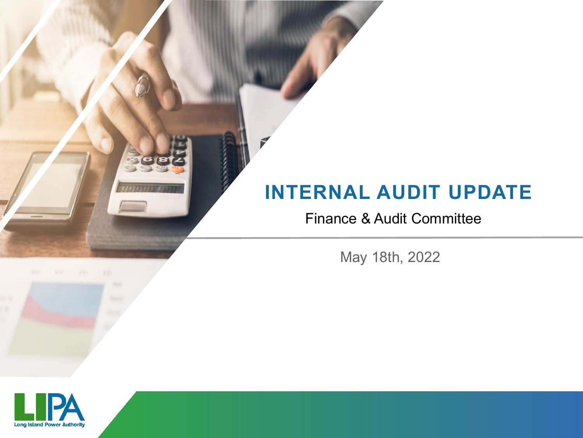#### **INTERNAL AUDIT UPDATE**

#### Finance & Audit Committee

May 18th, 2022

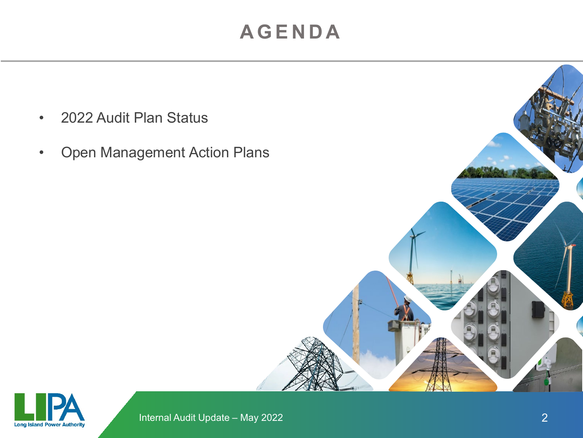#### **AGENDA**

- 2022 Audit Plan Status
- Open Management Action Plans



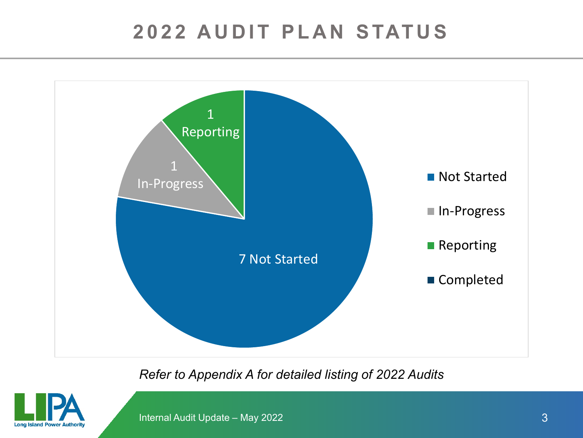### **2022 AUDIT PLAN STATUS**



*Refer to Appendix A for detailed listing of 2022 Audits*



Internal Audit Update – May 2022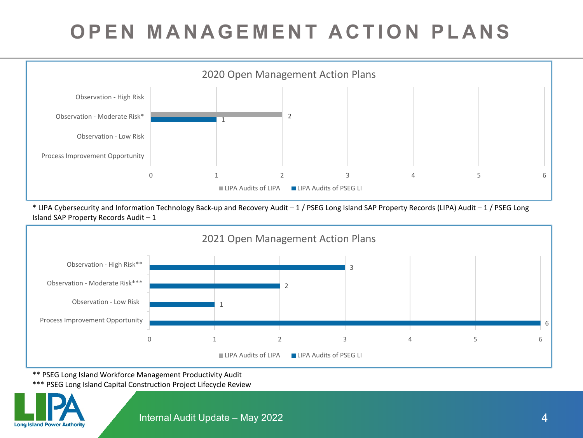# **OPEN MANAGEMENT ACTION PLANS**



\* LIPA Cybersecurity and Information Technology Back-up and Recovery Audit – 1 / PSEG Long Island SAP Property Records (LIPA) Audit – 1 / PSEG Long Island SAP Property Records Audit – 1



\*\* PSEG Long Island Workforce Management Productivity Audit

\*\*\* PSEG Long Island Capital Construction Project Lifecycle Review